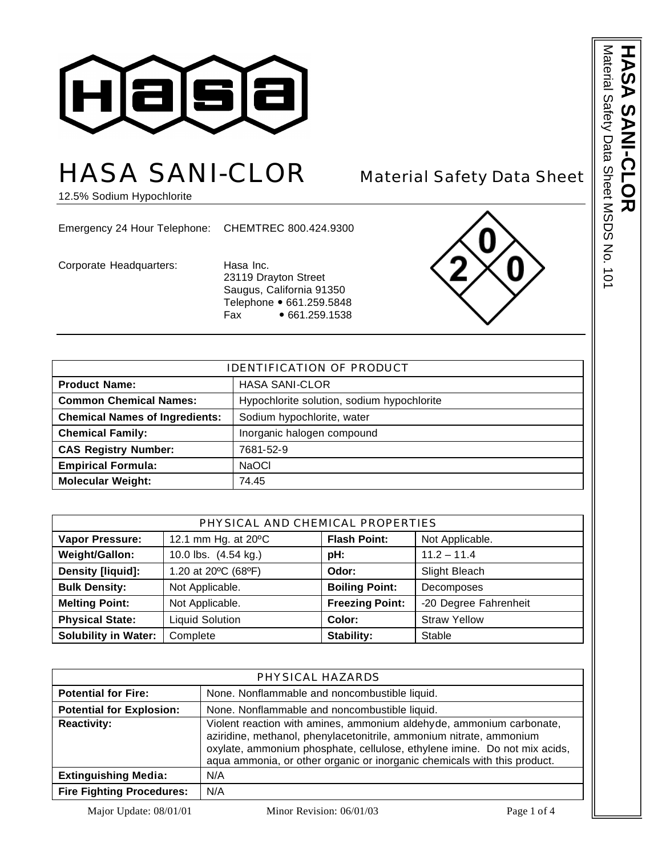

# HASA SANI-CLOR Material Safety Data Sheet

12.5% Sodium Hypochlorite

Emergency 24 Hour Telephone: CHEMTREC 800.424.9300

Corporate Headquarters: Hasa Inc.

23119 Drayton Street Saugus, California 91350 Telephone • 661.259.5848<br>Fax • 661.259.1538  $• 661.259.1538$ 



| <b>IDENTIFICATION OF PRODUCT</b>      |                                            |  |
|---------------------------------------|--------------------------------------------|--|
| <b>Product Name:</b>                  | <b>HASA SANI-CLOR</b>                      |  |
| <b>Common Chemical Names:</b>         | Hypochlorite solution, sodium hypochlorite |  |
| <b>Chemical Names of Ingredients:</b> | Sodium hypochlorite, water                 |  |
| <b>Chemical Family:</b>               | Inorganic halogen compound                 |  |
| <b>CAS Registry Number:</b>           | 7681-52-9                                  |  |
| <b>Empirical Formula:</b>             | <b>NaOCI</b>                               |  |
| <b>Molecular Weight:</b>              | 74.45                                      |  |

| PHYSICAL AND CHEMICAL PROPERTIES |                        |                                        |                       |  |
|----------------------------------|------------------------|----------------------------------------|-----------------------|--|
| <b>Vapor Pressure:</b>           | 12.1 mm Hg. at 20°C    | <b>Flash Point:</b><br>Not Applicable. |                       |  |
| Weight/Gallon:                   | 10.0 lbs. (4.54 kg.)   | pH:                                    | $11.2 - 11.4$         |  |
| Density [liquid]:                | 1.20 at 20°C (68°F)    | Odor:                                  | Slight Bleach         |  |
| <b>Bulk Density:</b>             | Not Applicable.        | <b>Boiling Point:</b>                  | Decomposes            |  |
| <b>Melting Point:</b>            | Not Applicable.        | <b>Freezing Point:</b>                 | -20 Degree Fahrenheit |  |
| <b>Physical State:</b>           | <b>Liquid Solution</b> | Color:                                 | <b>Straw Yellow</b>   |  |
| <b>Solubility in Water:</b>      | Complete               | Stability:                             | Stable                |  |

| PHYSICAL HAZARDS                 |                                                                                                                                                                                                                                                                                                      |  |
|----------------------------------|------------------------------------------------------------------------------------------------------------------------------------------------------------------------------------------------------------------------------------------------------------------------------------------------------|--|
| <b>Potential for Fire:</b>       | None. Nonflammable and noncombustible liquid.                                                                                                                                                                                                                                                        |  |
| <b>Potential for Explosion:</b>  | None. Nonflammable and noncombustible liquid.                                                                                                                                                                                                                                                        |  |
| <b>Reactivity:</b>               | Violent reaction with amines, ammonium aldehyde, ammonium carbonate,<br>aziridine, methanol, phenylacetonitrile, ammonium nitrate, ammonium<br>oxylate, ammonium phosphate, cellulose, ethylene imine. Do not mix acids,<br>aqua ammonia, or other organic or inorganic chemicals with this product. |  |
| <b>Extinguishing Media:</b>      | N/A                                                                                                                                                                                                                                                                                                  |  |
| <b>Fire Fighting Procedures:</b> | N/A                                                                                                                                                                                                                                                                                                  |  |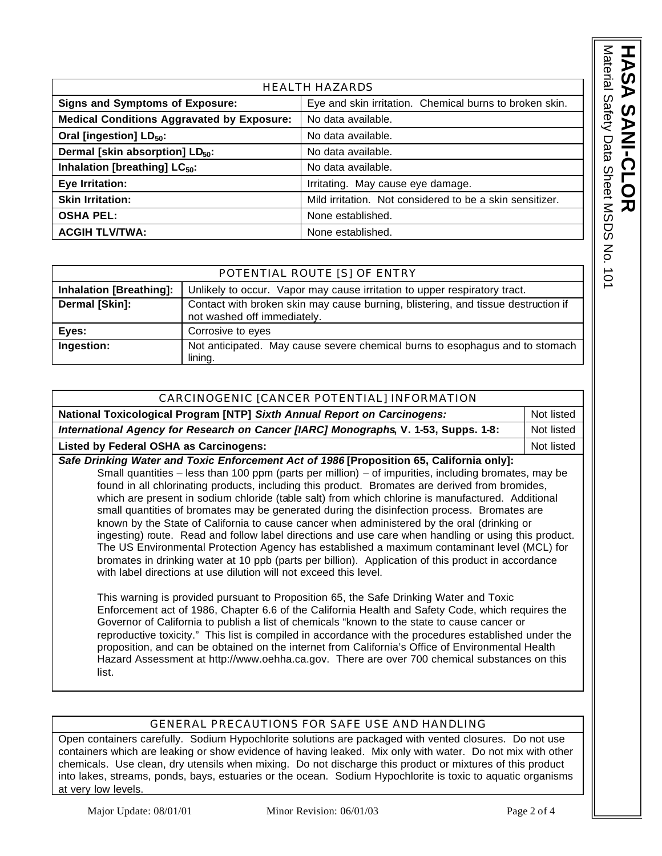| י<br>היהו<br><u>م</u><br>č<br>ś<br>, Calignal<br>こててー<br>$\overline{\phantom{a}}$ |  |
|-----------------------------------------------------------------------------------|--|
|-----------------------------------------------------------------------------------|--|

| <b>HEALTH HAZARDS</b>                             |                                                          |  |
|---------------------------------------------------|----------------------------------------------------------|--|
| <b>Signs and Symptoms of Exposure:</b>            | Eye and skin irritation. Chemical burns to broken skin.  |  |
| <b>Medical Conditions Aggravated by Exposure:</b> | No data available.                                       |  |
| Oral [ingestion] LD <sub>50</sub> :               | No data available.                                       |  |
| Dermal [skin absorption] LD <sub>50</sub> :       | No data available.                                       |  |
| Inhalation [breathing] LC <sub>50</sub> :         | No data available.                                       |  |
| Eye Irritation:                                   | Irritating. May cause eye damage.                        |  |
| <b>Skin Irritation:</b>                           | Mild irritation. Not considered to be a skin sensitizer. |  |
| <b>OSHA PEL:</b>                                  | None established.                                        |  |
| <b>ACGIH TLV/TWA:</b>                             | None established.                                        |  |

|                                | POTENTIAL ROUTE [S] OF ENTRY                                                                                     |
|--------------------------------|------------------------------------------------------------------------------------------------------------------|
| <b>Inhalation [Breathing]:</b> | Unlikely to occur. Vapor may cause irritation to upper respiratory tract.                                        |
| Dermal [Skin]:                 | Contact with broken skin may cause burning, blistering, and tissue destruction if<br>not washed off immediately. |
| Eyes:                          | Corrosive to eyes                                                                                                |
| Ingestion:                     | Not anticipated. May cause severe chemical burns to esophagus and to stomach<br>lining.                          |

| CARCINOGENIC [CANCER POTENTIAL] INFORMATION                                              |            |  |
|------------------------------------------------------------------------------------------|------------|--|
| National Toxicological Program [NTP] Sixth Annual Report on Carcinogens:<br>Not listed   |            |  |
| International Agency for Research on Cancer [IARC] Monographs, V. 1-53, Supps. 1-8:      |            |  |
| Listed by Federal OSHA as Carcinogens:                                                   | Not listed |  |
| Cafe Drinking Water and Toxie Enforcement Ast of 1006 [Drepecition CE, Colifornia only]: |            |  |

*Safe Drinking Water and Toxic Enforcement Act of 1986* **[Proposition 65, California only]:** Small quantities – less than 100 ppm (parts per million) – of impurities, including bromates, may be found in all chlorinating products, including this product. Bromates are derived from bromides, which are present in sodium chloride (table salt) from which chlorine is manufactured. Additional small quantities of bromates may be generated during the disinfection process. Bromates are known by the State of California to cause cancer when administered by the oral (drinking or ingesting) route. Read and follow label directions and use care when handling or using this product. The US Environmental Protection Agency has established a maximum contaminant level (MCL) for bromates in drinking water at 10 ppb (parts per billion). Application of this product in accordance with label directions at use dilution will not exceed this level.

This warning is provided pursuant to Proposition 65, the Safe Drinking Water and Toxic Enforcement act of 1986, Chapter 6.6 of the California Health and Safety Code, which requires the Governor of California to publish a list of chemicals "known to the state to cause cancer or reproductive toxicity." This list is compiled in accordance with the procedures established under the proposition, and can be obtained on the internet from California's Office of Environmental Health Hazard Assessment at http://www.oehha.ca.gov. There are over 700 chemical substances on this list.

## GENERAL PRECAUTIONS FOR SAFE USE AND HANDLING

Open containers carefully. Sodium Hypochlorite solutions are packaged with vented closures. Do not use containers which are leaking or show evidence of having leaked. Mix only with water. Do not mix with other chemicals. Use clean, dry utensils when mixing. Do not discharge this product or mixtures of this product into lakes, streams, ponds, bays, estuaries or the ocean. Sodium Hypochlorite is toxic to aquatic organisms at very low levels.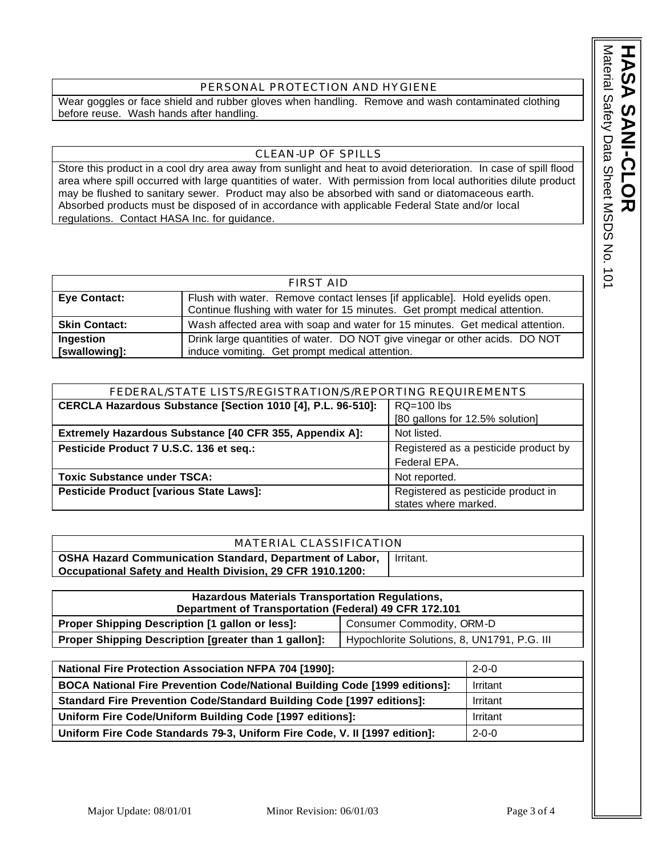Material Safety Data Sheet MSDS No. 101 Material Safety Data Sheet MSDS No. 101 **HASA SANI** RS  $\tilde{\mathbf{p}}$ **-CLOR**

#### PERSONAL PROTECTION AND HYGIENE

Wear goggles or face shield and rubber gloves when handling. Remove and wash contaminated clothing before reuse. Wash hands after handling.

### CLEAN-UP OF SPILLS

Store this product in a cool dry area away from sunlight and heat to avoid deterioration. In case of spill flood area where spill occurred with large quantities of water. With permission from local authorities dilute product may be flushed to sanitary sewer. Product may also be absorbed with sand or diatomaceous earth. Absorbed products must be disposed of in accordance with applicable Federal State and/or local regulations. Contact HASA Inc. for guidance.

| FIRST AID            |                                                                               |  |
|----------------------|-------------------------------------------------------------------------------|--|
| <b>Eye Contact:</b>  | Flush with water. Remove contact lenses [if applicable]. Hold eyelids open.   |  |
|                      | Continue flushing with water for 15 minutes. Get prompt medical attention.    |  |
| <b>Skin Contact:</b> | Wash affected area with soap and water for 15 minutes. Get medical attention. |  |
| Ingestion            | Drink large quantities of water. DO NOT give vinegar or other acids. DO NOT   |  |
| [swallowing]:        | induce vomiting. Get prompt medical attention.                                |  |

| FEDERAL/STATE LISTS/REGISTRATION/S/REPORTING REQUIREMENTS                   |                                                            |  |
|-----------------------------------------------------------------------------|------------------------------------------------------------|--|
| CERCLA Hazardous Substance [Section 1010 [4], P.L. 96-510]:<br>$RQ=100$ lbs |                                                            |  |
|                                                                             | [80 gallons for 12.5% solution]                            |  |
| Extremely Hazardous Substance [40 CFR 355, Appendix A]:<br>Not listed.      |                                                            |  |
| Pesticide Product 7 U.S.C. 136 et seq.:                                     | Registered as a pesticide product by                       |  |
|                                                                             | Federal EPA.                                               |  |
| <b>Toxic Substance under TSCA:</b>                                          | Not reported.                                              |  |
| Pesticide Product [various State Laws]:                                     | Registered as pesticide product in<br>states where marked. |  |

| MATERIAL CLASSIFICATION                                    |           |  |
|------------------------------------------------------------|-----------|--|
| OSHA Hazard Communication Standard, Department of Labor,   | Irritant. |  |
| Occupational Safety and Health Division, 29 CFR 1910.1200: |           |  |

| <b>Hazardous Materials Transportation Regulations,</b>                                              |  |  |
|-----------------------------------------------------------------------------------------------------|--|--|
| Department of Transportation (Federal) 49 CFR 172.101                                               |  |  |
| Consumer Commodity, ORM-D<br><b>Proper Shipping Description [1 gallon or less]:</b>                 |  |  |
| Proper Shipping Description [greater than 1 gallon]:<br>Hypochlorite Solutions, 8, UN1791, P.G. III |  |  |

| <b>National Fire Protection Association NFPA 704 [1990]:</b>                 | $2 - 0 - 0$ |
|------------------------------------------------------------------------------|-------------|
| BOCA National Fire Prevention Code/National Building Code [1999 editions]:   | Irritant    |
| <b>Standard Fire Prevention Code/Standard Building Code [1997 editions]:</b> | Irritant    |
| Uniform Fire Code/Uniform Building Code [1997 editions]:                     | Irritant    |
| Uniform Fire Code Standards 79-3, Uniform Fire Code, V. II [1997 edition]:   | $2 - 0 - 0$ |